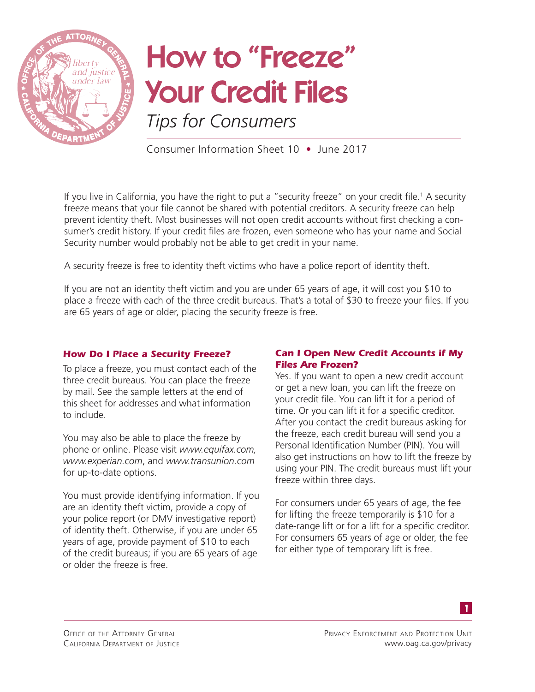

Consumer Information Sheet 10 • June 2017

If you live in California, you have the right to put a "security freeze" on your credit file.<sup>1</sup> A security freeze means that your file cannot be shared with potential creditors. A security freeze can help prevent identity theft. Most businesses will not open credit accounts without first checking a consumer's credit history. If your credit files are frozen, even someone who has your name and Social Security number would probably not be able to get credit in your name.

A security freeze is free to identity theft victims who have a police report of identity theft.

If you are not an identity theft victim and you are under 65 years of age, it will cost you \$10 to place a freeze with each of the three credit bureaus. That's a total of \$30 to freeze your files. If you are 65 years of age or older, placing the security freeze is free.

## *How Do I Place a Security Freeze?*

To place a freeze, you must contact each of the three credit bureaus. You can place the freeze by mail. See the sample letters at the end of this sheet for addresses and what information to include.

You may also be able to place the freeze by phone or online. Please visit *www.equifax.com, www.experian.com*, and *www.transunion.com* for up-to-date options.

You must provide identifying information. If you are an identity theft victim, provide a copy of your police report (or DMV investigative report) of identity theft. Otherwise, if you are under 65 years of age, provide payment of \$10 to each of the credit bureaus; if you are 65 years of age or older the freeze is free.

## *Can I Open New Credit Accounts if My Files Are Frozen?*

Yes. If you want to open a new credit account or get a new loan, you can lift the freeze on your credit file. You can lift it for a period of time. Or you can lift it for a specific creditor. After you contact the credit bureaus asking for the freeze, each credit bureau will send you a Personal Identification Number (PIN). You will also get instructions on how to lift the freeze by using your PIN. The credit bureaus must lift your freeze within three days.

For consumers under 65 years of age, the fee for lifting the freeze temporarily is \$10 for a date-range lift or for a lift for a specific creditor. For consumers 65 years of age or older, the fee for either type of temporary lift is free.

*1*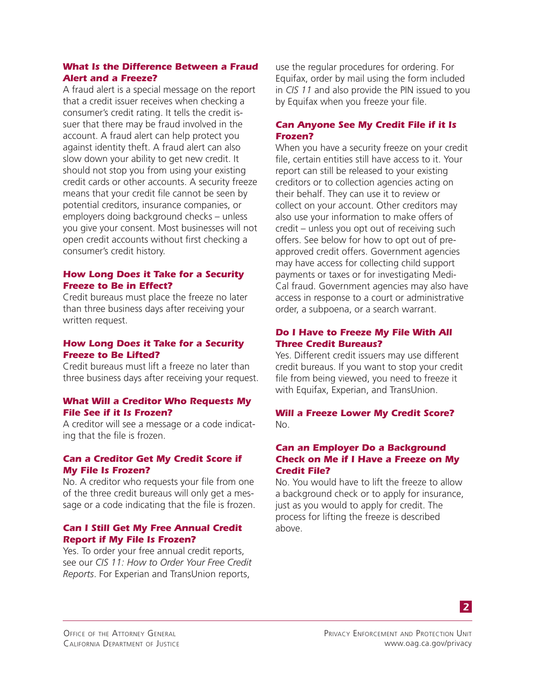## *What Is the Difference Between a Fraud Alert and a Freeze?*

A fraud alert is a special message on the report that a credit issuer receives when checking a consumer's credit rating. It tells the credit issuer that there may be fraud involved in the account. A fraud alert can help protect you against identity theft. A fraud alert can also slow down your ability to get new credit. It should not stop you from using your existing credit cards or other accounts. A security freeze means that your credit file cannot be seen by potential creditors, insurance companies, or employers doing background checks – unless you give your consent. Most businesses will not open credit accounts without first checking a consumer's credit history.

## *How Long Does it Take for a Security Freeze to Be in Effect?*

Credit bureaus must place the freeze no later than three business days after receiving your written request.

## *How Long Does it Take for a Security Freeze to Be Lifted?*

Credit bureaus must lift a freeze no later than three business days after receiving your request.

#### *What Will a Creditor Who Requests My File See if it Is Frozen?*

A creditor will see a message or a code indicating that the file is frozen.

## *Can a Creditor Get My Credit Score if My File Is Frozen?*

No. A creditor who requests your file from one of the three credit bureaus will only get a message or a code indicating that the file is frozen.

## *Can I Still Get My Free Annual Credit Report if My File Is Frozen?*

Yes. To order your free annual credit reports, see our *CIS 11: How to Order Your Free Credit Reports*. For Experian and TransUnion reports,

use the regular procedures for ordering. For Equifax, order by mail using the form included in *CIS 11* and also provide the PIN issued to you by Equifax when you freeze your file.

## *Can Anyone See My Credit File if it Is Frozen?*

When you have a security freeze on your credit file, certain entities still have access to it. Your report can still be released to your existing creditors or to collection agencies acting on their behalf. They can use it to review or collect on your account. Other creditors may also use your information to make offers of credit – unless you opt out of receiving such offers. See below for how to opt out of preapproved credit offers. Government agencies may have access for collecting child support payments or taxes or for investigating Medi-Cal fraud. Government agencies may also have access in response to a court or administrative order, a subpoena, or a search warrant.

## *Do I Have to Freeze My File With All Three Credit Bureaus?*

Yes. Different credit issuers may use different credit bureaus. If you want to stop your credit file from being viewed, you need to freeze it with Equifax, Experian, and TransUnion.

## *Will a Freeze Lower My Credit Score?*  No.

#### *Can an Employer Do a Background Check on Me if I Have a Freeze on My Credit File?*

No. You would have to lift the freeze to allow a background check or to apply for insurance, just as you would to apply for credit. The process for lifting the freeze is described above.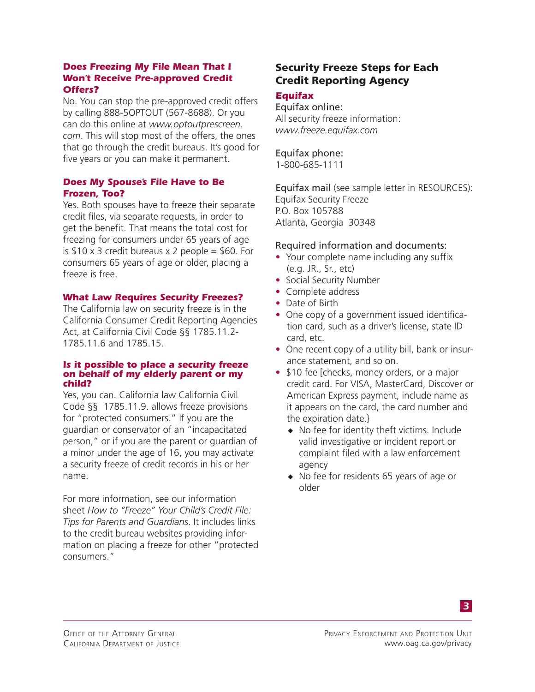## *Does Freezing My File Mean That I Won't Receive Pre-approved Credit Offers?*

No. You can stop the pre-approved credit offers by calling 888-5OPTOUT (567-8688). Or you can do this online at *www.optoutprescreen. com*. This will stop most of the offers, the ones that go through the credit bureaus. It's good for five years or you can make it permanent.

## *Does My Spouse's File Have to Be Frozen, Too?*

Yes. Both spouses have to freeze their separate credit files, via separate requests, in order to get the benefit. That means the total cost for freezing for consumers under 65 years of age is  $$10 \times 3$  credit bureaus x 2 people =  $$60$ . For consumers 65 years of age or older, placing a freeze is free.

## *What Law Requires Security Freezes?*

The California law on security freeze is in the California Consumer Credit Reporting Agencies Act, at California Civil Code §§ 1785.11.2- 1785.11.6 and 1785.15.

#### *Is it possible to place a security freeze on behalf of my elderly parent or my child?*

Yes, you can. California law California Civil Code §§ 1785.11.9. allows freeze provisions for "protected consumers." If you are the guardian or conservator of an "incapacitated person," or if you are the parent or guardian of a minor under the age of 16, you may activate a security freeze of credit records in his or her name.

For more information, see our information sheet *How to "Freeze" Your Child's Credit File: Tips for Parents and Guardians*. It includes links to the credit bureau websites providing information on placing a freeze for other "protected consumers."

## Security Freeze Steps for Each Credit Reporting Agency

#### *Equifax*

Equifax online: All security freeze information: *www.freeze.equifax.com* 

## Equifax phone:

1-800-685-1111

Equifax mail (see sample letter in RESOURCES): Equifax Security Freeze P.O. Box 105788 Atlanta, Georgia 30348

## Required information and documents:

- Your complete name including any suffix (e.g. JR., Sr., etc)
- Social Security Number
- Complete address
- Date of Birth
- One copy of a government issued identification card, such as a driver's license, state ID card, etc.
- One recent copy of a utility bill, bank or insurance statement, and so on.
- \$10 fee [checks, money orders, or a major credit card. For VISA, MasterCard, Discover or American Express payment, include name as it appears on the card, the card number and the expiration date.}
	- $\bullet$  No fee for identity theft victims. Include valid investigative or incident report or complaint filed with a law enforcement agency
	- $\bullet$  No fee for residents 65 years of age or older

*3*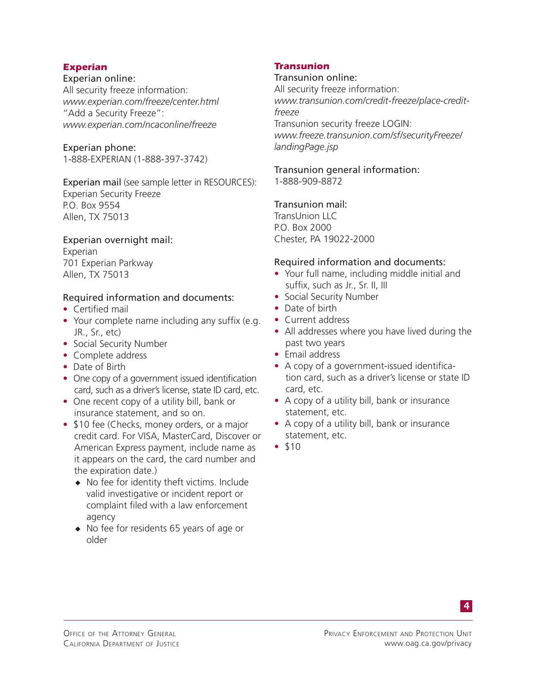## *Experian*

## Experian online:

All security freeze information: *www.experian.com/freeze/center.html*  "Add a Security Freeze": *www.experian.com/ncaconline/freeze*

### Experian phone:

1-888-EXPERIAN (1-888-397-3742)

Experian mail (see sample letter in RESOURCES): Experian Security Freeze P.O. Box 9554 Allen, TX 75013

## Experian overnight mail:

Experian 701 Experian Parkway Allen, TX 75013

## Required information and documents:

- Certified mail
- Your complete name including any suffix (e.g. JR., Sr., etc)
- Social Security Number
- Complete address
- Date of Birth
- One copy of a government issued identification card, such as a driver's license, state ID card, etc.
- One recent copy of a utility bill, bank or insurance statement, and so on.
- \$10 fee (Checks, money orders, or a major credit card. For VISA, MasterCard, Discover or American Express payment, include name as it appears on the card, the card number and the expiration date.)
	- $\bullet$  No fee for identity theft victims. Include valid investigative or incident report or complaint filed with a law enforcement agency
	- $\bullet$  No fee for residents 65 years of age or older

## *Transunion*

## Transunion online:

All security freeze information: *www.transunion.com/credit-freeze/place-creditfreeze* Transunion security freeze LOGIN: *www.freeze.transunion.com/sf/securityFreeze/ landingPage.jsp* 

Transunion general information: 1-888-909-8872

## Transunion mail:

TransUnion LLC P.O. Box 2000 Chester, PA 19022-2000

#### Required information and documents:

- Your full name, including middle initial and suffix, such as Jr., Sr. II, III
- Social Security Number
- Date of birth
- Current address
- All addresses where you have lived during the past two years
- Email address
- A copy of a government-issued identification card, such as a driver's license or state ID card, etc.
- A copy of a utility bill, bank or insurance statement, etc.
- A copy of a utility bill, bank or insurance statement, etc.
- \$10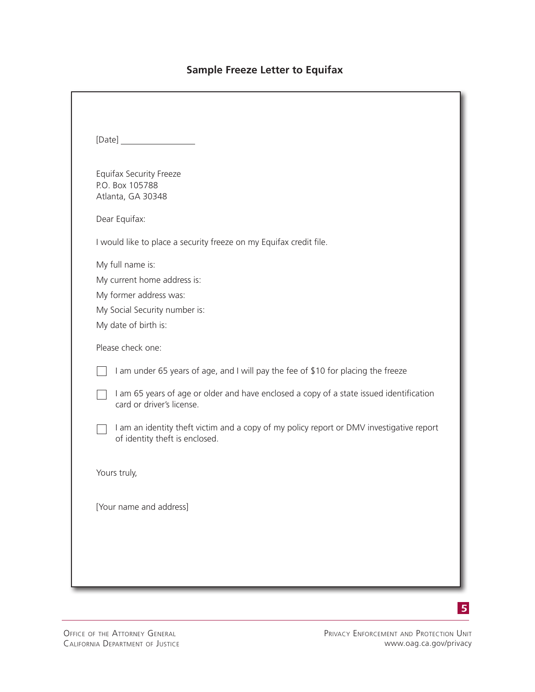# **Sample Freeze Letter to Equifax**

| [Date]                                                                                                                             |
|------------------------------------------------------------------------------------------------------------------------------------|
| <b>Equifax Security Freeze</b><br>P.O. Box 105788<br>Atlanta, GA 30348                                                             |
| Dear Equifax:                                                                                                                      |
| I would like to place a security freeze on my Equifax credit file.                                                                 |
| My full name is:<br>My current home address is:<br>My former address was:<br>My Social Security number is:<br>My date of birth is: |
| Please check one:                                                                                                                  |
| I am under 65 years of age, and I will pay the fee of \$10 for placing the freeze                                                  |
| I am 65 years of age or older and have enclosed a copy of a state issued identification<br>card or driver's license.               |
| I am an identity theft victim and a copy of my policy report or DMV investigative report<br>of identity theft is enclosed.         |
| Yours truly,                                                                                                                       |
| [Your name and address]                                                                                                            |
|                                                                                                                                    |

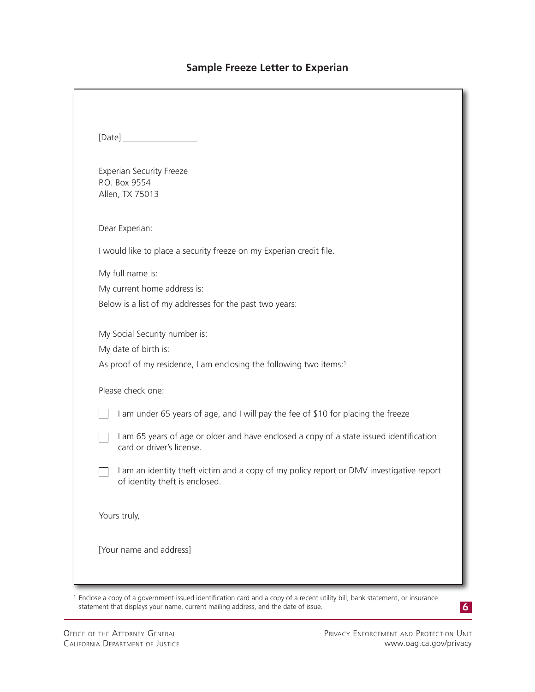# **Sample Freeze Letter to Experian**

|                | [Date]                                                                                                                     |
|----------------|----------------------------------------------------------------------------------------------------------------------------|
| P.O. Box 9554  | <b>Experian Security Freeze</b><br>Allen, TX 75013                                                                         |
| Dear Experian: |                                                                                                                            |
|                | I would like to place a security freeze on my Experian credit file.                                                        |
|                | My full name is:                                                                                                           |
|                | My current home address is:                                                                                                |
|                | Below is a list of my addresses for the past two years:                                                                    |
|                | My Social Security number is:                                                                                              |
|                | My date of birth is:                                                                                                       |
|                | As proof of my residence, I am enclosing the following two items: <sup>1</sup>                                             |
|                | Please check one:                                                                                                          |
|                | I am under 65 years of age, and I will pay the fee of \$10 for placing the freeze                                          |
|                | I am 65 years of age or older and have enclosed a copy of a state issued identification<br>card or driver's license.       |
|                | I am an identity theft victim and a copy of my policy report or DMV investigative report<br>of identity theft is enclosed. |
| Yours truly,   |                                                                                                                            |
|                | [Your name and address]                                                                                                    |
|                |                                                                                                                            |

1 Enclose a copy of a government issued identification card and a copy of a recent utility bill, bank statement, or insurance statement that displays your name, current mailing address, and the date of issue.